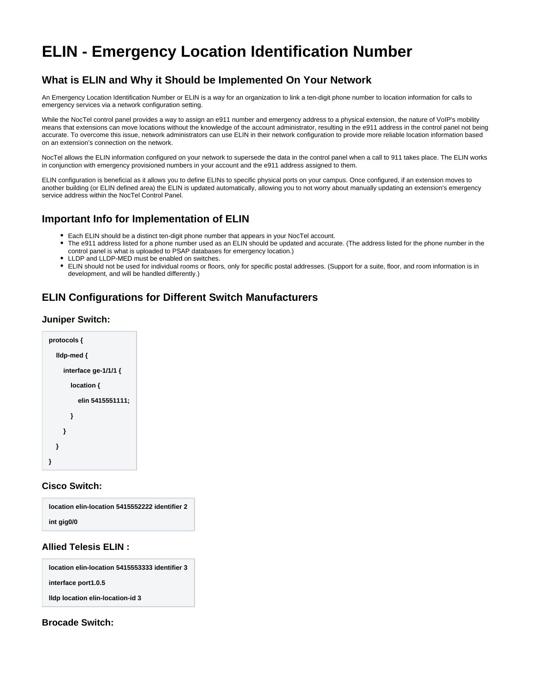# <span id="page-0-0"></span>**ELIN - Emergency Location Identification Number**

# **What is ELIN and Why it Should be Implemented On Your Network**

An Emergency Location Identification Number or ELIN is a way for an organization to link a ten-digit phone number to location information for calls to emergency services via a network configuration setting.

While the NocTel control panel provides a way to assign an e911 number and emergency address to a physical extension, the nature of VoIP's mobility means that extensions can move locations without the knowledge of the account administrator, resulting in the e911 address in the control panel not being accurate. To overcome this issue, network administrators can use ELIN in their network configuration to provide more reliable location information based on an extension's connection on the network.

NocTel allows the ELIN information configured on your network to supersede the data in the control panel when a call to 911 takes place. The ELIN works in conjunction with emergency provisioned numbers in your account and the e911 address assigned to them.

ELIN configuration is beneficial as it allows you to define ELINs to specific physical ports on your campus. Once configured, if an extension moves to another building (or ELIN defined area) the ELIN is updated automatically, allowing you to not worry about manually updating an extension's emergency service address within the NocTel Control Panel.

# **Important Info for Implementation of ELIN**

- Each ELIN should be a distinct ten-digit phone number that appears in your NocTel account.
- $\bullet$ The e911 address listed for a phone number used as an ELIN should be updated and accurate. (The address listed for the phone number in the control panel is what is uploaded to PSAP databases for emergency location.)
- LLDP and LLDP-MED must be enabled on switches.
- ELIN should not be used for individual rooms or floors, only for specific postal addresses. (Support for a suite, floor, and room information is in development, and will be handled differently.)

# **ELIN Configurations for Different Switch Manufacturers**

#### **Juniper Switch:**



#### **Cisco Switch:**

| location elin-location 5415552222 identifier 2 |  |
|------------------------------------------------|--|
| int gig0/0                                     |  |

## **Allied Telesis ELIN :**

**location elin-location 5415553333 identifier 3 interface port1.0.5 lldp location elin-location-id 3**

## **Brocade Switch:**